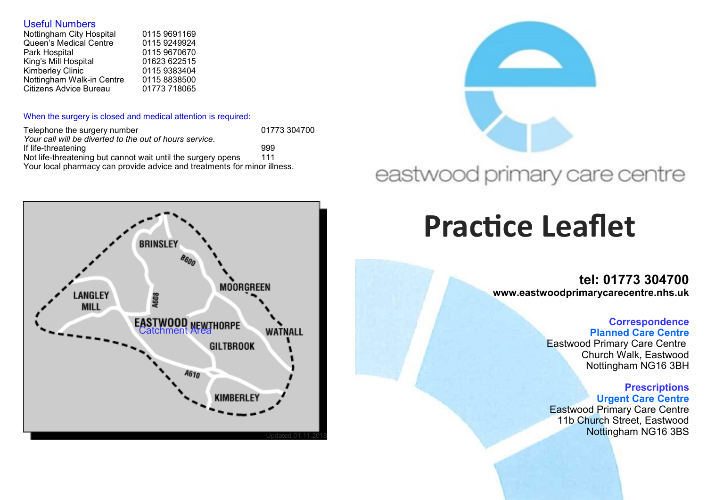#### Useful Numbers

| Nottingham City Hospital  | 0115 9691169 |
|---------------------------|--------------|
| Queen's Medical Centre    | 0115 9249924 |
| Park Hospital             | 0115 9670670 |
| King's Mill Hospital      | 01623 622515 |
| Kimberley Clinic          | 0115 9383404 |
| Nottingham Walk-in Centre | 0115 8838500 |
| Citizens Advice Bureau    | 01773 718065 |
|                           |              |

#### When the surgery is closed and medical attention is required:

| Telephone the surgery number                                             | 01773 304700 |  |
|--------------------------------------------------------------------------|--------------|--|
| Your call will be diverted to the out of hours service.                  |              |  |
| If life-threatening                                                      | 999          |  |
| Not life-threatening but cannot wait until the surgery opens             | 111          |  |
| Your local pharmacy can provide advice and treatments for minor illness. |              |  |





## eastwood primary care centre

# **Practice Leaflet**

**tel: 01773 304700 www.eastwoodprimarycarecentre.nhs.uk**

#### **Correspondence Planned Care Centre**

Eastwood Primary Care Centre Church Walk, Eastwood Nottingham NG16 3BH

#### **Prescriptions Urgent Care Centre**

Eastwood Primary Care Centre 11b Church Street, Eastwood Nottingham NG16 3BS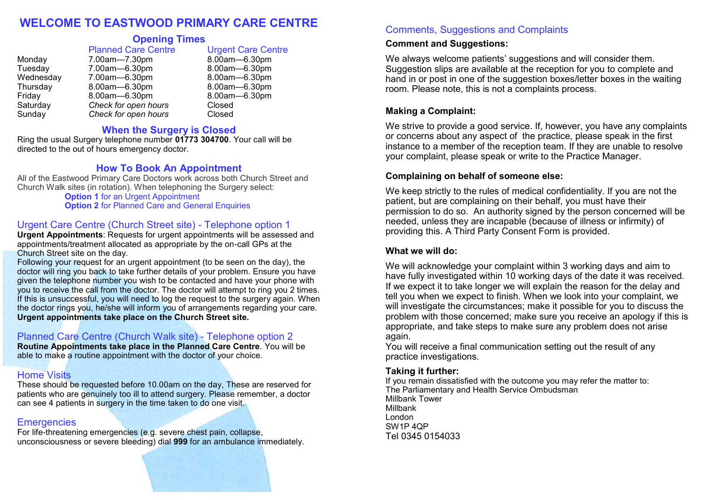#### **WELCOME TO EASTWOOD PRIMARY CARE CENTRE**

#### **Opening Times**

|           | <b>Planned Care Centre</b> | <b>Urgent Care Centre</b> |
|-----------|----------------------------|---------------------------|
| Monday    | 7.00am-7.30pm              | 8.00am-6.30pm             |
| Tuesday   | 7.00am-6.30pm              | 8.00am-6.30pm             |
| Wednesday | 7.00am-6.30pm              | 8.00am-6.30pm             |
| Thursday  | 8.00am-6.30pm              | 8.00am-6.30pm             |
| Friday    | 8.00am-6.30pm              | 8.00am-6.30pm             |
| Saturday  | Check for open hours       | Closed                    |
| Sunday    | Check for open hours       | Closed                    |

#### **When the Surgery is Closed**

Ring the usual Surgery telephone number **01773 304700**. Your call will be directed to the out of hours emergency doctor.

#### **How To Book An Appointment**

All of the Eastwood Primary Care Doctors work across both Church Street and Church Walk sites (in rotation). When telephoning the Surgery select:

**Option 1** for an Urgent Appointment **Option 2** for Planned Care and General Enquiries

#### Urgent Care Centre (Church Street site) - Telephone option 1

**Urgent Appointments: Requests for urgent appointments will be assessed and** appointments/treatment allocated as appropriate by the on-call GPs at the Church Street site on the day.

Following your request for an urgent appointment (to be seen on the day), the doctor will ring you back to take further details of your problem. Ensure you have given the telephone number you wish to be contacted and have your phone with you to receive the call from the doctor. The doctor will attempt to ring you 2 times. If this is unsuccessful, you will need to log the request to the surgery again. When the doctor rings you, he/she will inform you of arrangements regarding your care. **Urgent appointments take place on the Church Street site.**

#### Planned Care Centre (Church Walk site) - Telephone option 2

**Routine Appointments take place in the Planned Care Centre**. You will be able to make a routine appointment with the doctor of your choice.

#### Home Visits

These should be requested before 10.00am on the day, These are reserved for patients who are genuinely too ill to attend surgery. Please remember, a doctor can see 4 patients in surgery in the time taken to do one visit.

#### **Emergencies**

For life-threatening emergencies (e.g. severe chest pain, collapse, unconsciousness or severe bleeding) dial **999** for an ambulance immediately.

#### Comments, Suggestions and Complaints

#### **Comment and Suggestions:**

We always welcome patients' suggestions and will consider them. Suggestion slips are available at the reception for you to complete and hand in or post in one of the suggestion boxes/letter boxes in the waiting room. Please note, this is not a complaints process.

#### **Making a Complaint:**

We strive to provide a good service. If, however, you have any complaints or concerns about any aspect of the practice, please speak in the first instance to a member of the reception team. If they are unable to resolve your complaint, please speak or write to the Practice Manager.

#### **Complaining on behalf of someone else:**

We keep strictly to the rules of medical confidentiality. If you are not the patient, but are complaining on their behalf, you must have their permission to do so. An authority signed by the person concerned will be needed, unless they are incapable (because of illness or infirmity) of providing this. A Third Party Consent Form is provided.

#### **What we will do:**

We will acknowledge your complaint within 3 working days and aim to have fully investigated within 10 working days of the date it was received. If we expect it to take longer we will explain the reason for the delay and tell you when we expect to finish. When we look into your complaint, we will investigate the circumstances; make it possible for you to discuss the problem with those concerned; make sure you receive an apology if this is appropriate, and take steps to make sure any problem does not arise again.

You will receive a final communication setting out the result of any practice investigations.

#### **Taking it further:**

If you remain dissatisfied with the outcome you may refer the matter to: The Parliamentary and Health Service Ombudsman Millbank Tower Millbank London SW1P 4QP Tel 0345 0154033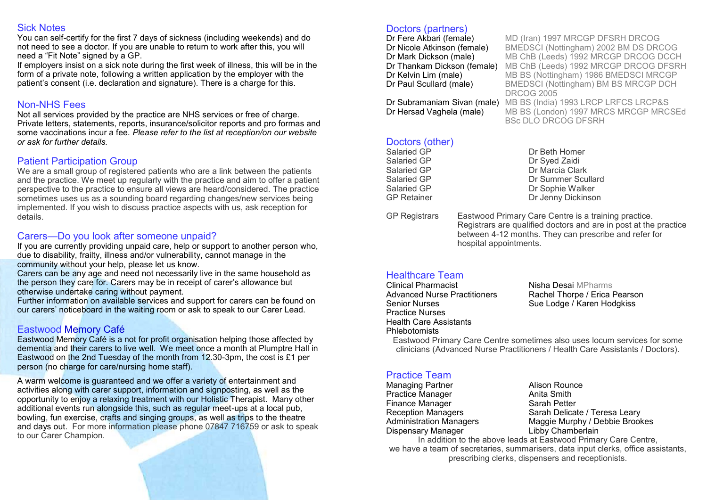#### Sick Notes

You can self-certify for the first 7 days of sickness (including weekends) and do not need to see a doctor. If you are unable to return to work after this, you will need a "Fit Note" signed by a GP.

If employers insist on a sick note during the first week of illness, this will be in the form of a private note, following a written application by the employer with the patient's consent (i.e. declaration and signature). There is a charge for this.

#### Non-NHS Fees

Not all services provided by the practice are NHS services or free of charge. Private letters, statements, reports, insurance/solicitor reports and pro formas and some vaccinations incur a fee. *Please refer to the list at reception/on our website or ask for further details.*

#### Patient Participation Group

We are a small group of registered patients who are a link between the patients and the practice. We meet up regularly with the practice and aim to offer a patient perspective to the practice to ensure all views are heard/considered. The practice sometimes uses us as a sounding board regarding changes/new services being implemented. If you wish to discuss practice aspects with us, ask reception for details.

#### Carers—Do you look after someone unpaid?

If you are currently providing unpaid care, help or support to another person who, due to disability, frailty, illness and/or vulnerability, cannot manage in the community without your help, please let us know.

Carers can be any age and need not necessarily live in the same household as the person they care for. Carers may be in receipt of carer's allowance but otherwise undertake caring without payment.

Further information on available services and support for carers can be found on our carers' noticeboard in the waiting room or ask to speak to our Carer Lead.

#### Eastwood Memory Café

Eastwood Memory Café is a not for profit organisation helping those affected by dementia and their carers to live well. We meet once a month at Plumptre Hall in Eastwood on the 2nd Tuesday of the month from 12.30-3pm, the cost is £1 per person (no charge for care/nursing home staff).

A warm welcome is guaranteed and we offer a variety of entertainment and activities along with carer support, information and signposting, as well as the opportunity to enjoy a relaxing treatment with our Holistic Therapist. Many other additional events run alongside this, such as regular meet-ups at a local pub, bowling, fun exercise, crafts and singing groups, as well as trips to the theatre and days out. For more information please phone 07847 716759 or ask to speak to our Carer Champion.

## Doctors (partners)<br>Dr Fere Akbari (female)

**Dr Fere Akbari (female)** MD (Iran) 1997 MRCGP DFSRH DRCOG<br>**Dr Nicole Atkinson (female)** BMEDSCI (Nottingham) 2002 BM DS DR Dr Nicole Atkinson (female) BMEDSCI (Nottingham) 2002 BM DS DRCOG **Dr Mark Dickson (male)** MB ChB (Leeds) 1992 MRCGP DRCOG DCCH<br>**Dr Thankam Dickson (female)** MB ChB (Leeds) 1992 MRCGP DRCOG DESRE MB ChB (Leeds) 1992 MRCGP DRCOG DFSRH **Dr Kelvin Lim (male)** MB BS (Nottingham) 1986 BMEDSCI MRCGP<br> **Dr Paul Scullard (male)** BMEDSCI (Nottingham) BM BS MRCGP DCH BMEDSCI (Nottingham) BM BS MRCGP DCH DRCOG 2005 Dr Subramaniam Sivan (male) MB BS (India) 1993 LRCP LRFCS LRCP&S Dr Hersad Vaghela (male) MB BS (London) 1997 MRCS MRCGP MRCSEd

BSc DLO DRCOG DFSRH

### Doctors (other)<br>Salaried GP

Salaried GP Dr Syed Zaidi

Dr Beth Homer Salaried GP Dr Marcia Clark Salaried GP **Dr Summer Scullard**<br>
Salaried GP **Dr Sophie Walker** Salaried GP Dr Sophie Walker Dr Jenny Dickinson

GP Registrars Eastwood Primary Care Centre is a training practice. Registrars are qualified doctors and are in post at the practice between 4-12 months. They can prescribe and refer for hospital appointments.

## **Healthcare Team**<br>Clinical Pharmacist

Clinical Pharmacist **Nisha Desai MPharms**<br>Advanced Nurse Practitioners Rachel Thorne / Frica I Senior Nurses Sue Lodge / Karen Hodgkiss Practice Nurses Health Care Assistants Phlebotomists

Rachel Thorpe / Erica Pearson

Eastwood Primary Care Centre sometimes also uses locum services for some clinicians (Advanced Nurse Practitioners / Health Care Assistants / Doctors).

#### Practice Team

Managing Partner **Alison Rounce** Practice Manager **Anita Smith** Finance Manager Sarah Petter Dispensary Manager **Libby Chamberlain** 

Reception Managers Sarah Delicate / Teresa Leary Administration Managers Maggie Murphy / Debbie Brookes

In addition to the above leads at Eastwood Primary Care Centre, we have a team of secretaries, summarisers, data input clerks, office assistants, prescribing clerks, dispensers and receptionists.